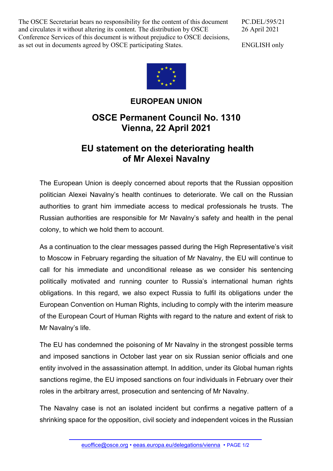The OSCE Secretariat bears no responsibility for the content of this document and circulates it without altering its content. The distribution by OSCE Conference Services of this document is without prejudice to OSCE decisions, as set out in documents agreed by OSCE participating States.

PC.DEL/595/21 26 April 2021

ENGLISH only



## **EUROPEAN UNION**

## **OSCE Permanent Council No. 1310 Vienna, 22 April 2021**

## **EU statement on the deteriorating health of Mr Alexei Navalny**

The European Union is deeply concerned about reports that the Russian opposition politician Alexei Navalny's health continues to deteriorate. We call on the Russian authorities to grant him immediate access to medical professionals he trusts. The Russian authorities are responsible for Mr Navalny's safety and health in the penal colony, to which we hold them to account.

As a continuation to the clear messages passed during the High Representative's visit to Moscow in February regarding the situation of Mr Navalny, the EU will continue to call for his immediate and unconditional release as we consider his sentencing politically motivated and running counter to Russia's international human rights obligations. In this regard, we also expect Russia to fulfil its obligations under the European Convention on Human Rights, including to comply with the interim measure of the European Court of Human Rights with regard to the nature and extent of risk to Mr Navalny's life.

The EU has condemned the poisoning of Mr Navalny in the strongest possible terms and imposed sanctions in October last year on six Russian senior officials and one entity involved in the assassination attempt. In addition, under its Global human rights sanctions regime, the EU imposed sanctions on four individuals in February over their roles in the arbitrary arrest, prosecution and sentencing of Mr Navalny.

The Navalny case is not an isolated incident but confirms a negative pattern of a shrinking space for the opposition, civil society and independent voices in the Russian

euoffice@osce.org • eeas.europa.eu/delegations/vienna • PAGE 1/2